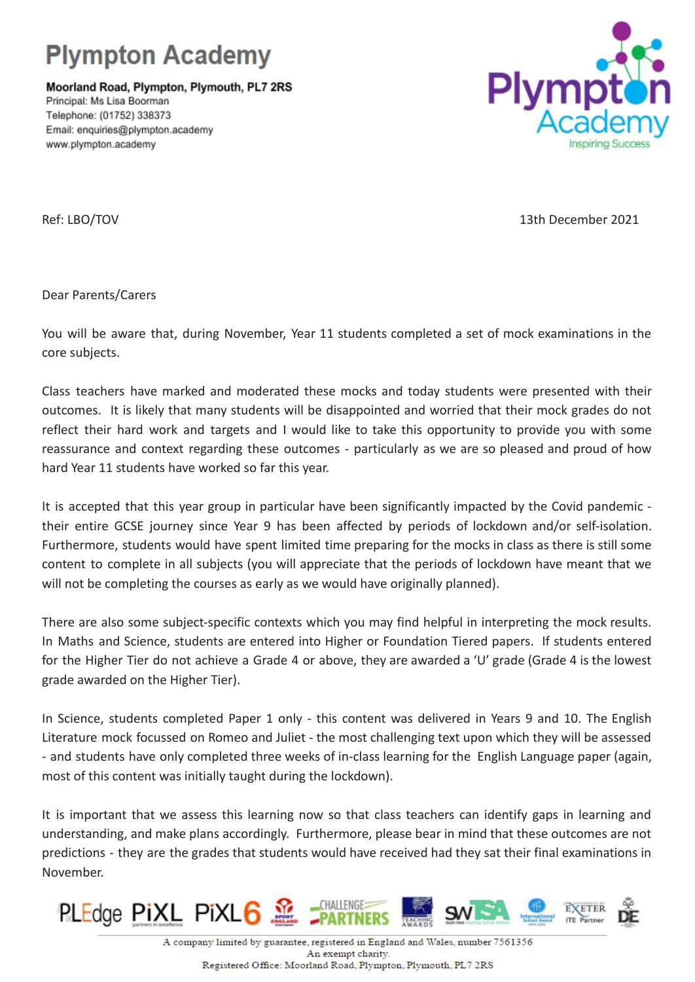

Moorland Road, Plympton, Plymouth, PL7 2RS Principal: Ms Lisa Boorman Telephone: (01752) 338373 Email: enquiries@plympton.academy www.plympton.academy



Ref: LBO/TOV 13th December 2021

Dear Parents/Carers

You will be aware that, during November, Year 11 students completed a set of mock examinations in the core subjects.

Class teachers have marked and moderated these mocks and today students were presented with their outcomes. It is likely that many students will be disappointed and worried that their mock grades do not reflect their hard work and targets and I would like to take this opportunity to provide you with some reassurance and context regarding these outcomes - particularly as we are so pleased and proud of how hard Year 11 students have worked so far this year.

It is accepted that this year group in particular have been significantly impacted by the Covid pandemic their entire GCSE journey since Year 9 has been affected by periods of lockdown and/or self-isolation. Furthermore, students would have spent limited time preparing for the mocks in class as there is still some content to complete in all subjects (you will appreciate that the periods of lockdown have meant that we will not be completing the courses as early as we would have originally planned).

There are also some subject-specific contexts which you may find helpful in interpreting the mock results. In Maths and Science, students are entered into Higher or Foundation Tiered papers. If students entered for the Higher Tier do not achieve a Grade 4 or above, they are awarded a 'U' grade (Grade 4 is the lowest grade awarded on the Higher Tier).

In Science, students completed Paper 1 only - this content was delivered in Years 9 and 10. The English Literature mock focussed on Romeo and Juliet - the most challenging text upon which they will be assessed - and students have only completed three weeks of in-class learning for the English Language paper (again, most of this content was initially taught during the lockdown).

It is important that we assess this learning now so that class teachers can identify gaps in learning and understanding, and make plans accordingly. Furthermore, please bear in mind that these outcomes are not predictions - they are the grades that students would have received had they sat their final examinations in November.